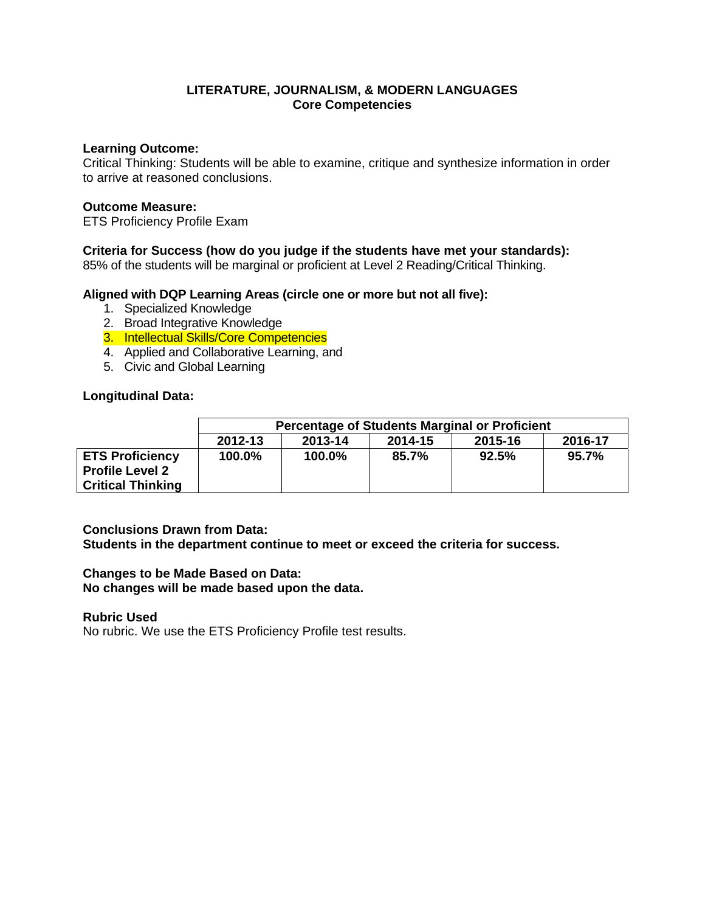### **Learning Outcome:**

Critical Thinking: Students will be able to examine, critique and synthesize information in order to arrive at reasoned conclusions.

## **Outcome Measure:**

ETS Proficiency Profile Exam

# **Criteria for Success (how do you judge if the students have met your standards):**

85% of the students will be marginal or proficient at Level 2 Reading/Critical Thinking.

## **Aligned with DQP Learning Areas (circle one or more but not all five):**

- 1. Specialized Knowledge
- 2. Broad Integrative Knowledge
- 3. Intellectual Skills/Core Competencies
- 4. Applied and Collaborative Learning, and
- 5. Civic and Global Learning

## **Longitudinal Data:**

|                                                                              | <b>Percentage of Students Marginal or Proficient</b> |         |         |         |         |
|------------------------------------------------------------------------------|------------------------------------------------------|---------|---------|---------|---------|
|                                                                              | 2012-13                                              | 2013-14 | 2014-15 | 2015-16 | 2016-17 |
| <b>ETS Proficiency</b><br><b>Profile Level 2</b><br><b>Critical Thinking</b> | 100.0%                                               | 100.0%  | 85.7%   | 92.5%   | 95.7%   |

# **Conclusions Drawn from Data:**

**Students in the department continue to meet or exceed the criteria for success.** 

# **Changes to be Made Based on Data:**

**No changes will be made based upon the data.** 

### **Rubric Used**

No rubric. We use the ETS Proficiency Profile test results.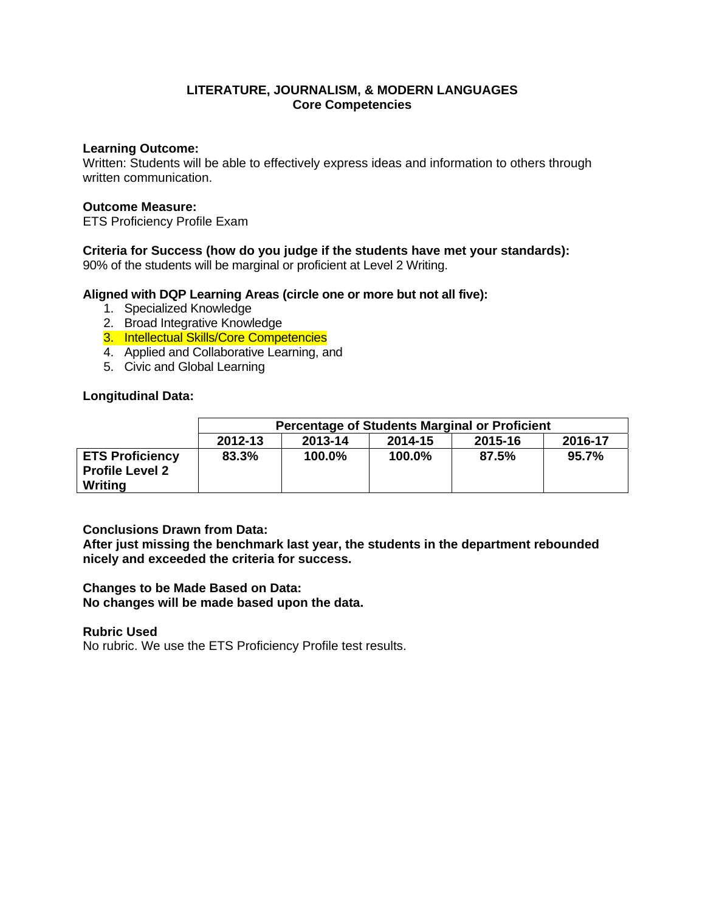### **Learning Outcome:**

Written: Students will be able to effectively express ideas and information to others through written communication.

### **Outcome Measure:**

ETS Proficiency Profile Exam

## **Criteria for Success (how do you judge if the students have met your standards):**

90% of the students will be marginal or proficient at Level 2 Writing.

### **Aligned with DQP Learning Areas (circle one or more but not all five):**

- 1. Specialized Knowledge
- 2. Broad Integrative Knowledge
- 3. Intellectual Skills/Core Competencies
- 4. Applied and Collaborative Learning, and
- 5. Civic and Global Learning

### **Longitudinal Data:**

|                                                             | <b>Percentage of Students Marginal or Proficient</b> |         |         |         |         |
|-------------------------------------------------------------|------------------------------------------------------|---------|---------|---------|---------|
|                                                             | 2012-13                                              | 2013-14 | 2014-15 | 2015-16 | 2016-17 |
| <b>ETS Proficiency</b><br><b>Profile Level 2</b><br>Writing | 83.3%                                                | 100.0%  | 100.0%  | 87.5%   | 95.7%   |

### **Conclusions Drawn from Data:**

**After just missing the benchmark last year, the students in the department rebounded nicely and exceeded the criteria for success.** 

### **Changes to be Made Based on Data:**

**No changes will be made based upon the data.** 

### **Rubric Used**

No rubric. We use the ETS Proficiency Profile test results.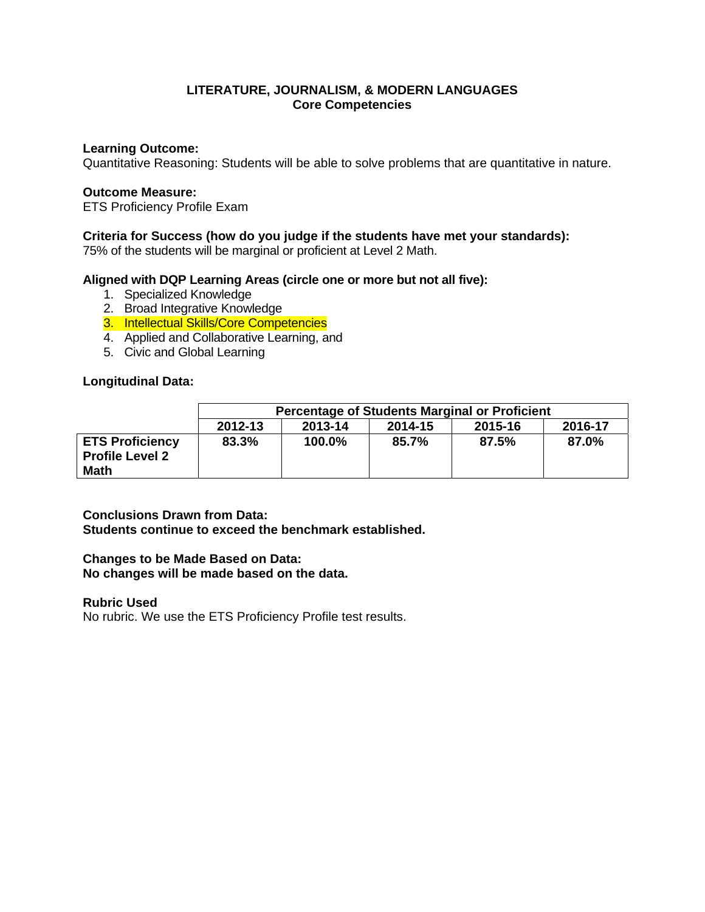### **Learning Outcome:**

Quantitative Reasoning: Students will be able to solve problems that are quantitative in nature.

### **Outcome Measure:**

ETS Proficiency Profile Exam

### **Criteria for Success (how do you judge if the students have met your standards):**

75% of the students will be marginal or proficient at Level 2 Math.

### **Aligned with DQP Learning Areas (circle one or more but not all five):**

- 1. Specialized Knowledge
- 2. Broad Integrative Knowledge
- 3. Intellectual Skills/Core Competencies
- 4. Applied and Collaborative Learning, and
- 5. Civic and Global Learning

### **Longitudinal Data:**

|                                                                 | <b>Percentage of Students Marginal or Proficient</b> |         |         |         |         |
|-----------------------------------------------------------------|------------------------------------------------------|---------|---------|---------|---------|
|                                                                 | 2012-13                                              | 2013-14 | 2014-15 | 2015-16 | 2016-17 |
| <b>ETS Proficiency</b><br><b>Profile Level 2</b><br><b>Math</b> | 83.3%                                                | 100.0%  | 85.7%   | 87.5%   | 87.0%   |

# **Conclusions Drawn from Data:**

**Students continue to exceed the benchmark established.** 

## **Changes to be Made Based on Data: No changes will be made based on the data.**

**Rubric Used** 

No rubric. We use the ETS Proficiency Profile test results.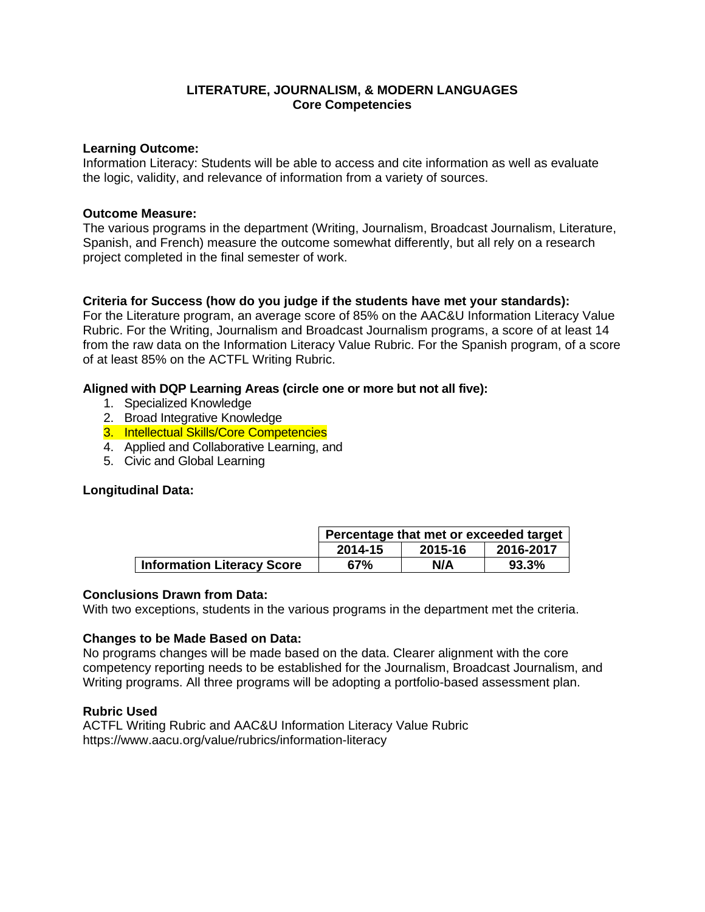### **Learning Outcome:**

Information Literacy: Students will be able to access and cite information as well as evaluate the logic, validity, and relevance of information from a variety of sources.

## **Outcome Measure:**

The various programs in the department (Writing, Journalism, Broadcast Journalism, Literature, Spanish, and French) measure the outcome somewhat differently, but all rely on a research project completed in the final semester of work.

# **Criteria for Success (how do you judge if the students have met your standards):**

For the Literature program, an average score of 85% on the AAC&U Information Literacy Value Rubric. For the Writing, Journalism and Broadcast Journalism programs, a score of at least 14 from the raw data on the Information Literacy Value Rubric. For the Spanish program, of a score of at least 85% on the ACTFL Writing Rubric.

## **Aligned with DQP Learning Areas (circle one or more but not all five):**

- 1. Specialized Knowledge
- 2. Broad Integrative Knowledge
- 3. Intellectual Skills/Core Competencies
- 4. Applied and Collaborative Learning, and
- 5. Civic and Global Learning

### **Longitudinal Data:**

|                                   | Percentage that met or exceeded target |         |           |  |
|-----------------------------------|----------------------------------------|---------|-----------|--|
|                                   | 2014-15                                | 2015-16 | 2016-2017 |  |
| <b>Information Literacy Score</b> | 67%                                    | N/A     | 93.3%     |  |

### **Conclusions Drawn from Data:**

With two exceptions, students in the various programs in the department met the criteria.

### **Changes to be Made Based on Data:**

No programs changes will be made based on the data. Clearer alignment with the core competency reporting needs to be established for the Journalism, Broadcast Journalism, and Writing programs. All three programs will be adopting a portfolio-based assessment plan.

### **Rubric Used**

ACTFL Writing Rubric and AAC&U Information Literacy Value Rubric https://www.aacu.org/value/rubrics/information-literacy